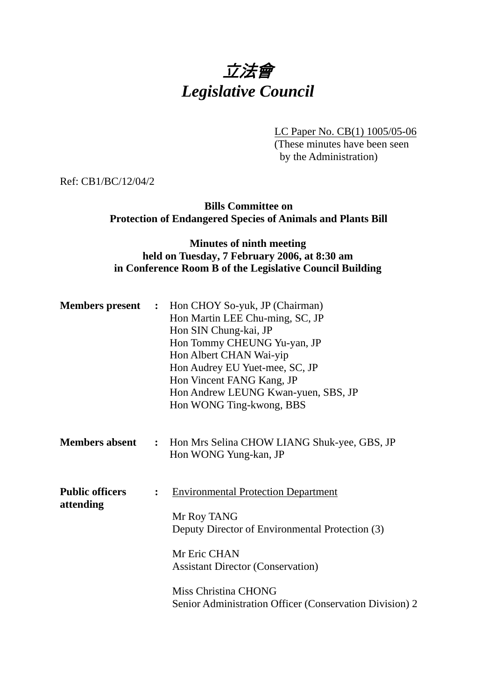# 立法會 *Legislative Council*

LC Paper No. CB(1) 1005/05-06

(These minutes have been seen by the Administration)

Ref: CB1/BC/12/04/2

**Bills Committee on Protection of Endangered Species of Animals and Plants Bill** 

#### **Minutes of ninth meeting held on Tuesday, 7 February 2006, at 8:30 am in Conference Room B of the Legislative Council Building**

|                                     |  | <b>Members present</b> : Hon CHOY So-yuk, JP (Chairman)<br>Hon Martin LEE Chu-ming, SC, JP<br>Hon SIN Chung-kai, JP<br>Hon Tommy CHEUNG Yu-yan, JP<br>Hon Albert CHAN Wai-yip<br>Hon Audrey EU Yuet-mee, SC, JP<br>Hon Vincent FANG Kang, JP<br>Hon Andrew LEUNG Kwan-yuen, SBS, JP<br>Hon WONG Ting-kwong, BBS |
|-------------------------------------|--|-----------------------------------------------------------------------------------------------------------------------------------------------------------------------------------------------------------------------------------------------------------------------------------------------------------------|
| <b>Members absent</b>               |  | : Hon Mrs Selina CHOW LIANG Shuk-yee, GBS, JP<br>Hon WONG Yung-kan, JP                                                                                                                                                                                                                                          |
| <b>Public officers</b><br>attending |  | <b>Environmental Protection Department</b><br>Mr Roy TANG<br>Deputy Director of Environmental Protection (3)<br>Mr Eric CHAN<br><b>Assistant Director (Conservation)</b><br>Miss Christina CHONG<br>Senior Administration Officer (Conservation Division) 2                                                     |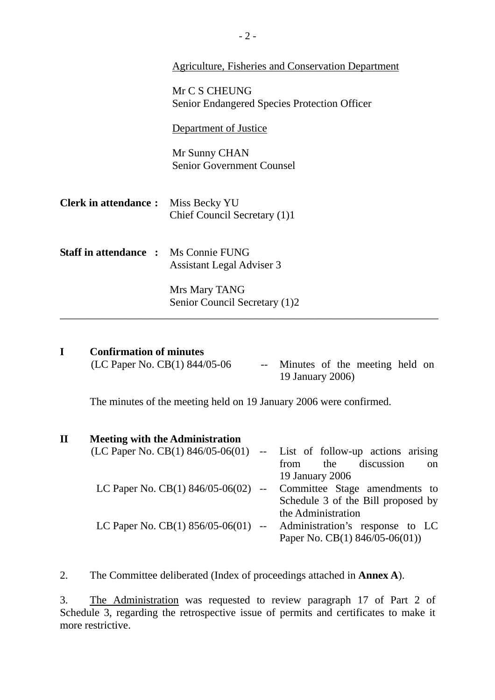|                                             | Agriculture, Fisheries and Conservation Department                   |  |  |
|---------------------------------------------|----------------------------------------------------------------------|--|--|
|                                             | Mr C S CHEUNG<br><b>Senior Endangered Species Protection Officer</b> |  |  |
|                                             | Department of Justice                                                |  |  |
|                                             | Mr Sunny CHAN<br><b>Senior Government Counsel</b>                    |  |  |
| <b>Clerk in attendance :</b> Miss Becky YU  | Chief Council Secretary (1)1                                         |  |  |
| <b>Staff in attendance : Ms Connie FUNG</b> | <b>Assistant Legal Adviser 3</b>                                     |  |  |
|                                             | Mrs Mary TANG<br>Senior Council Secretary (1)2                       |  |  |

| (LC Paper No. CB(1) 844/05-06 | -- Minutes of the meeting held on |  |
|-------------------------------|-----------------------------------|--|
|                               | 19 January 2006)                  |  |

The minutes of the meeting held on 19 January 2006 were confirmed.

# **II Meeting with the Administration**

| $(LC$ Paper No. $CB(1)$ 846/05-06(01) -- List of follow-up actions arising |                                            |
|----------------------------------------------------------------------------|--------------------------------------------|
|                                                                            | discussion<br>the<br>from<br><sub>on</sub> |
|                                                                            | 19 January 2006                            |
| LC Paper No. CB(1) $846/05-06(02)$ --                                      | Committee Stage amendments to              |
|                                                                            | Schedule 3 of the Bill proposed by         |
|                                                                            | the Administration                         |
| LC Paper No. CB(1) $856/05-06(01)$ --                                      | Administration's response to LC            |
|                                                                            | Paper No. CB(1) $846/05-06(01)$ )          |
|                                                                            |                                            |

2. The Committee deliberated (Index of proceedings attached in **Annex A**).

3. The Administration was requested to review paragraph 17 of Part 2 of Schedule 3, regarding the retrospective issue of permits and certificates to make it more restrictive.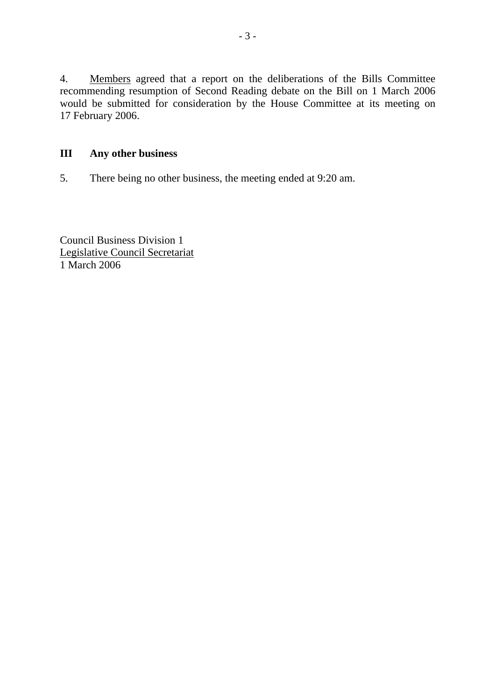4. Members agreed that a report on the deliberations of the Bills Committee recommending resumption of Second Reading debate on the Bill on 1 March 2006 would be submitted for consideration by the House Committee at its meeting on 17 February 2006.

## **III Any other business**

5. There being no other business, the meeting ended at 9:20 am.

Council Business Division 1 Legislative Council Secretariat 1 March 2006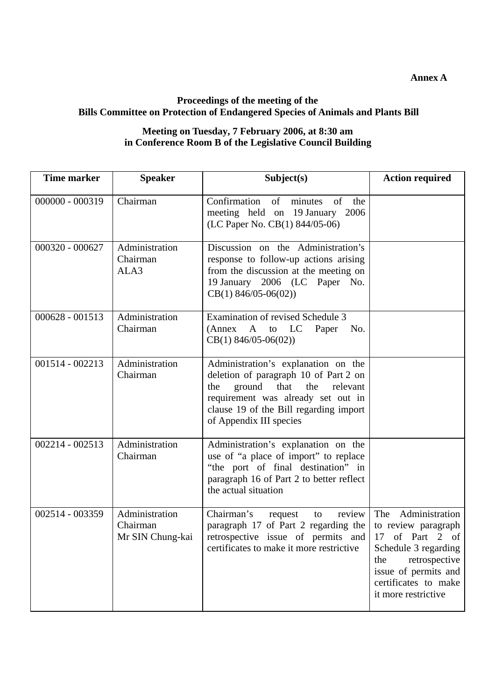### **Proceedings of the meeting of the Bills Committee on Protection of Endangered Species of Animals and Plants Bill**

#### **Meeting on Tuesday, 7 February 2006, at 8:30 am in Conference Room B of the Legislative Council Building**

| <b>Time marker</b> | <b>Speaker</b>                                 | Subject(s)                                                                                                                                                                                                                          | <b>Action required</b>                                                                                                                                                              |
|--------------------|------------------------------------------------|-------------------------------------------------------------------------------------------------------------------------------------------------------------------------------------------------------------------------------------|-------------------------------------------------------------------------------------------------------------------------------------------------------------------------------------|
| $000000 - 000319$  | Chairman                                       | Confirmation<br>of<br>minutes<br>of<br>the<br>meeting held on 19 January<br>2006<br>(LC Paper No. CB(1) 844/05-06)                                                                                                                  |                                                                                                                                                                                     |
| 000320 - 000627    | Administration<br>Chairman<br>ALA3             | Discussion on the Administration's<br>response to follow-up actions arising<br>from the discussion at the meeting on<br>19 January 2006 (LC Paper No.<br>$CB(1)$ 846/05-06(02))                                                     |                                                                                                                                                                                     |
| $000628 - 001513$  | Administration<br>Chairman                     | Examination of revised Schedule 3<br>(Annex A to LC)<br>Paper<br>No.<br>$CB(1)$ 846/05-06(02))                                                                                                                                      |                                                                                                                                                                                     |
| 001514 - 002213    | Administration<br>Chairman                     | Administration's explanation on the<br>deletion of paragraph 10 of Part 2 on<br>ground<br>that<br>the<br>relevant<br>the<br>requirement was already set out in<br>clause 19 of the Bill regarding import<br>of Appendix III species |                                                                                                                                                                                     |
| 002214 - 002513    | Administration<br>Chairman                     | Administration's explanation on the<br>use of "a place of import" to replace<br>"the port of final destination" in<br>paragraph 16 of Part 2 to better reflect<br>the actual situation                                              |                                                                                                                                                                                     |
| 002514 - 003359    | Administration<br>Chairman<br>Mr SIN Chung-kai | Chairman's<br>review<br>request<br>to<br>paragraph 17 of Part 2 regarding the<br>retrospective issue of permits and<br>certificates to make it more restrictive                                                                     | The Administration<br>to review paragraph<br>17 of Part 2 of<br>Schedule 3 regarding<br>retrospective<br>the<br>issue of permits and<br>certificates to make<br>it more restrictive |

**Annex A**